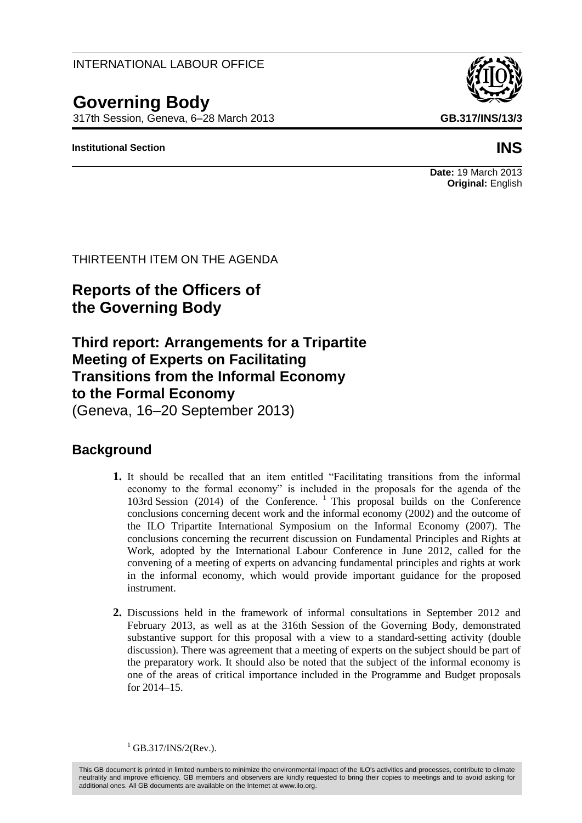### INTERNATIONAL LABOUR OFFICE

# **Governing Body**

317th Session, Geneva, 6–28 March 2013 **GB.317/INS/13/3**

#### **Institutional Section INS**



#### **Date:** 19 March 2013 **Original:** English

### THIRTEENTH ITEM ON THE AGENDA

## **Reports of the Officers of the Governing Body**

## **Third report: Arrangements for a Tripartite Meeting of Experts on Facilitating Transitions from the Informal Economy to the Formal Economy**

(Geneva, 16–20 September 2013)

### **Background**

- **1.** It should be recalled that an item entitled "Facilitating transitions from the informal economy to the formal economy" is included in the proposals for the agenda of the 103rd Session (2014) of the Conference.  $\frac{1}{1}$  This proposal builds on the Conference conclusions concerning decent work and the informal economy (2002) and the outcome of the ILO Tripartite International Symposium on the Informal Economy (2007). The conclusions concerning the recurrent discussion on Fundamental Principles and Rights at Work, adopted by the International Labour Conference in June 2012, called for the convening of a meeting of experts on advancing fundamental principles and rights at work in the informal economy, which would provide important guidance for the proposed instrument.
- **2.** Discussions held in the framework of informal consultations in September 2012 and February 2013, as well as at the 316th Session of the Governing Body, demonstrated substantive support for this proposal with a view to a standard-setting activity (double discussion). There was agreement that a meeting of experts on the subject should be part of the preparatory work. It should also be noted that the subject of the informal economy is one of the areas of critical importance included in the Programme and Budget proposals for 2014–15.

 $^{1}$  GB.317/INS/2(Rev.).

This GB document is printed in limited numbers to minimize the environmental impact of the ILO's activities and processes, contribute to climate neutrality and improve efficiency. GB members and observers are kindly requested to bring their copies to meetings and to avoid asking for additional ones. All GB documents are available on the Internet at www.ilo.org.